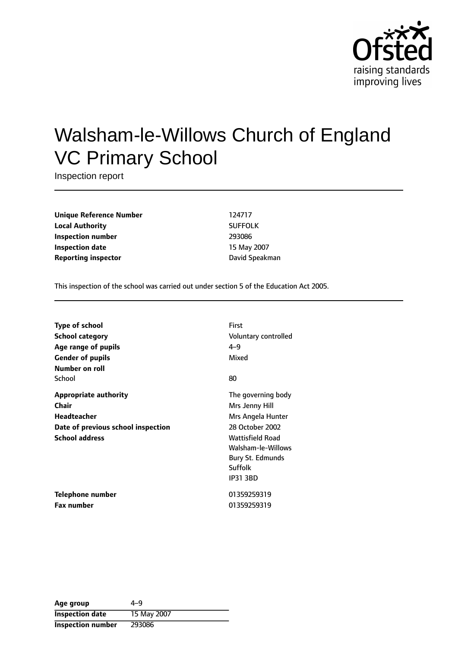

# Walsham-le-Willows Church of England VC Primary School

Inspection report

**Unique Reference Number** 124717 **Local Authority** SUFFOLK **Inspection number** 293086 **Inspection date** 15 May 2007 **Reporting inspector Contract Contract Contract Contract Contract Contract Contract Contract Contract Contract Contract Contract Contract Contract Contract Contract Contract Contract Contract Contract Contract Contract C** 

This inspection of the school was carried out under section 5 of the Education Act 2005.

| <b>Type of school</b>              | <b>First</b>            |
|------------------------------------|-------------------------|
| <b>School category</b>             | Voluntary controlled    |
| Age range of pupils                | $4 - 9$                 |
| <b>Gender of pupils</b>            | Mixed                   |
| Number on roll                     |                         |
| School                             | 80                      |
| <b>Appropriate authority</b>       | The governing body      |
| Chair                              | Mrs Jenny Hill          |
| <b>Headteacher</b>                 | Mrs Angela Hunter       |
| Date of previous school inspection | 28 October 2002         |
| <b>School address</b>              | <b>Wattisfield Road</b> |
|                                    | Walsham-le-Willows      |
|                                    | Bury St. Edmunds        |
|                                    | Suffolk                 |
|                                    | <b>IP31 3BD</b>         |
| Telephone number                   | 01359259319             |
| <b>Fax number</b>                  | 01359259319             |

| Age group                | 4–9         |
|--------------------------|-------------|
| <b>Inspection date</b>   | 15 May 2007 |
| <b>Inspection number</b> | 293086      |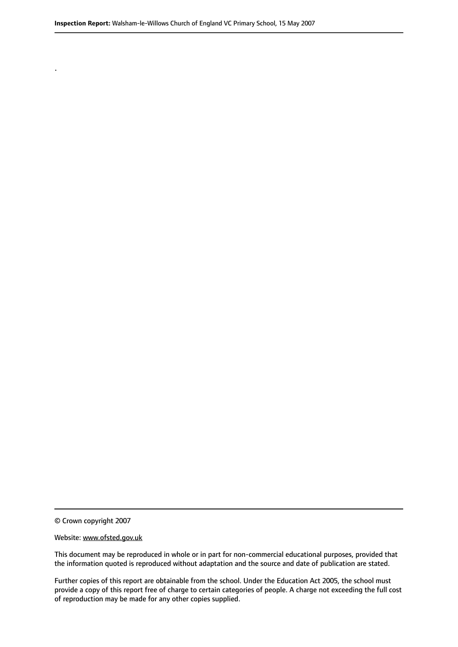© Crown copyright 2007

.

#### Website: www.ofsted.gov.uk

This document may be reproduced in whole or in part for non-commercial educational purposes, provided that the information quoted is reproduced without adaptation and the source and date of publication are stated.

Further copies of this report are obtainable from the school. Under the Education Act 2005, the school must provide a copy of this report free of charge to certain categories of people. A charge not exceeding the full cost of reproduction may be made for any other copies supplied.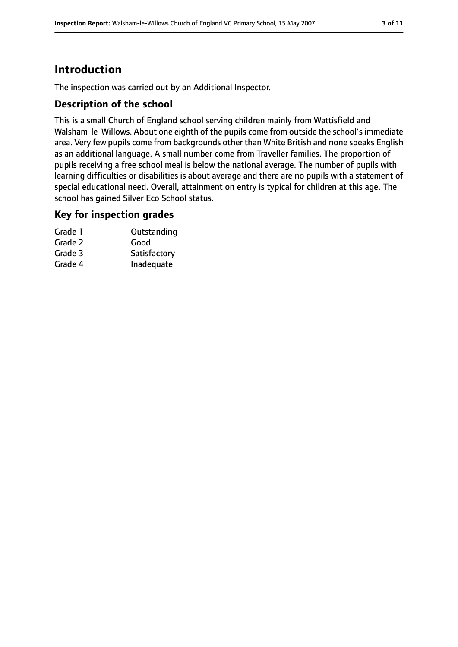# **Introduction**

The inspection was carried out by an Additional Inspector.

## **Description of the school**

This is a small Church of England school serving children mainly from Wattisfield and Walsham-le-Willows. About one eighth of the pupils come from outside the school'simmediate area. Very few pupils come from backgrounds other than White British and none speaks English as an additional language. A small number come from Traveller families. The proportion of pupils receiving a free school meal is below the national average. The number of pupils with learning difficulties or disabilities is about average and there are no pupils with a statement of special educational need. Overall, attainment on entry is typical for children at this age. The school has gained Silver Eco School status.

#### **Key for inspection grades**

| Grade 1 | Outstanding  |
|---------|--------------|
| Grade 2 | Good         |
| Grade 3 | Satisfactory |
| Grade 4 | Inadequate   |
|         |              |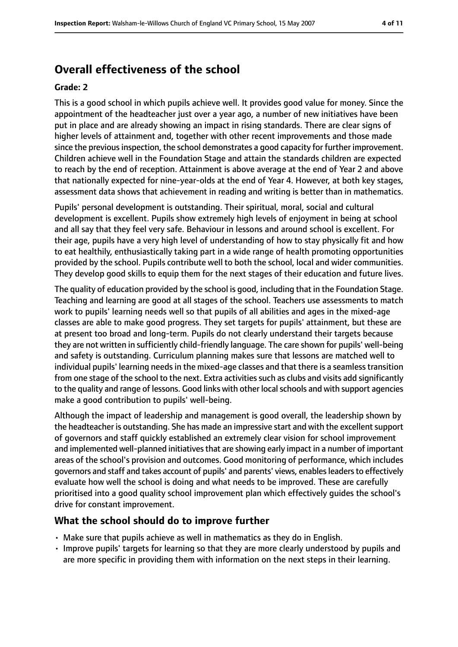# **Overall effectiveness of the school**

#### **Grade: 2**

This is a good school in which pupils achieve well. It provides good value for money. Since the appointment of the headteacher just over a year ago, a number of new initiatives have been put in place and are already showing an impact in rising standards. There are clear signs of higher levels of attainment and, together with other recent improvements and those made since the previous inspection, the school demonstrates a good capacity for further improvement. Children achieve well in the Foundation Stage and attain the standards children are expected to reach by the end of reception. Attainment is above average at the end of Year 2 and above that nationally expected for nine-year-olds at the end of Year 4. However, at both key stages, assessment data shows that achievement in reading and writing is better than in mathematics.

Pupils' personal development is outstanding. Their spiritual, moral, social and cultural development is excellent. Pupils show extremely high levels of enjoyment in being at school and all say that they feel very safe. Behaviour in lessons and around school is excellent. For their age, pupils have a very high level of understanding of how to stay physically fit and how to eat healthily, enthusiastically taking part in a wide range of health promoting opportunities provided by the school. Pupils contribute well to both the school, local and wider communities. They develop good skills to equip them for the next stages of their education and future lives.

The quality of education provided by the school is good, including that in the Foundation Stage. Teaching and learning are good at all stages of the school. Teachers use assessments to match work to pupils' learning needs well so that pupils of all abilities and ages in the mixed-age classes are able to make good progress. They set targets for pupils' attainment, but these are at present too broad and long-term. Pupils do not clearly understand their targets because they are not written in sufficiently child-friendly language. The care shown for pupils' well-being and safety is outstanding. Curriculum planning makes sure that lessons are matched well to individual pupils' learning needs in the mixed-age classes and that there is a seamless transition from one stage of the school to the next. Extra activities such as clubs and visits add significantly to the quality and range of lessons. Good links with other localschools and with support agencies make a good contribution to pupils' well-being.

Although the impact of leadership and management is good overall, the leadership shown by the headteacher is outstanding. She has made an impressive start and with the excellent support of governors and staff quickly established an extremely clear vision for school improvement and implemented well-planned initiatives that are showing early impact in a number of important areas of the school's provision and outcomes. Good monitoring of performance, which includes governors and staff and takes account of pupils' and parents' views, enablesleadersto effectively evaluate how well the school is doing and what needs to be improved. These are carefully prioritised into a good quality school improvement plan which effectively guides the school's drive for constant improvement.

#### **What the school should do to improve further**

- Make sure that pupils achieve as well in mathematics as they do in English.
- Improve pupils' targets for learning so that they are more clearly understood by pupils and are more specific in providing them with information on the next steps in their learning.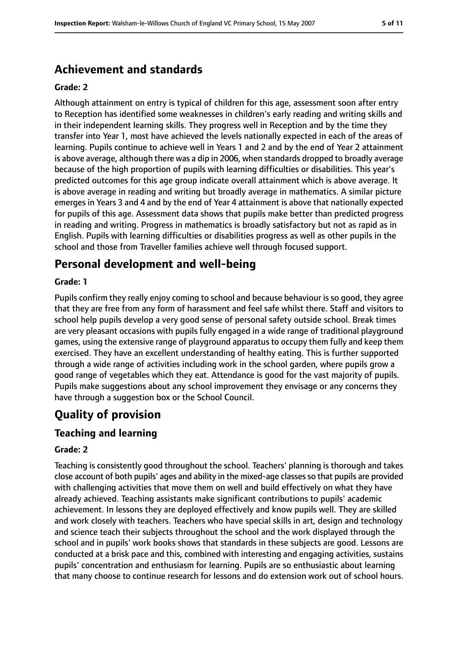## **Achievement and standards**

#### **Grade: 2**

Although attainment on entry is typical of children for this age, assessment soon after entry to Reception has identified some weaknesses in children's early reading and writing skills and in their independent learning skills. They progress well in Reception and by the time they transfer into Year 1, most have achieved the levels nationally expected in each of the areas of learning. Pupils continue to achieve well in Years 1 and 2 and by the end of Year 2 attainment is above average, although there was a dip in 2006, when standards dropped to broadly average because of the high proportion of pupils with learning difficulties or disabilities. This year's predicted outcomes for this age group indicate overall attainment which is above average. It is above average in reading and writing but broadly average in mathematics. A similar picture emerges in Years 3 and 4 and by the end of Year 4 attainment is above that nationally expected for pupils of this age. Assessment data shows that pupils make better than predicted progress in reading and writing. Progress in mathematics is broadly satisfactory but not as rapid as in English. Pupils with learning difficulties or disabilities progress as well as other pupils in the school and those from Traveller families achieve well through focused support.

## **Personal development and well-being**

#### **Grade: 1**

Pupils confirm they really enjoy coming to school and because behaviour is so good, they agree that they are free from any form of harassment and feel safe whilst there. Staff and visitors to school help pupils develop a very good sense of personal safety outside school. Break times are very pleasant occasions with pupils fully engaged in a wide range of traditional playground games, using the extensive range of playground apparatus to occupy them fully and keep them exercised. They have an excellent understanding of healthy eating. This is further supported through a wide range of activities including work in the school garden, where pupils grow a good range of vegetables which they eat. Attendance is good for the vast majority of pupils. Pupils make suggestions about any school improvement they envisage or any concerns they have through a suggestion box or the School Council.

## **Quality of provision**

#### **Teaching and learning**

#### **Grade: 2**

Teaching is consistently good throughout the school. Teachers' planning is thorough and takes close account of both pupils' ages and ability in the mixed-age classes so that pupils are provided with challenging activities that move them on well and build effectively on what they have already achieved. Teaching assistants make significant contributions to pupils' academic achievement. In lessons they are deployed effectively and know pupils well. They are skilled and work closely with teachers. Teachers who have special skills in art, design and technology and science teach their subjects throughout the school and the work displayed through the school and in pupils' work books shows that standards in these subjects are good. Lessons are conducted at a brisk pace and this, combined with interesting and engaging activities, sustains pupils' concentration and enthusiasm for learning. Pupils are so enthusiastic about learning that many choose to continue research for lessons and do extension work out of school hours.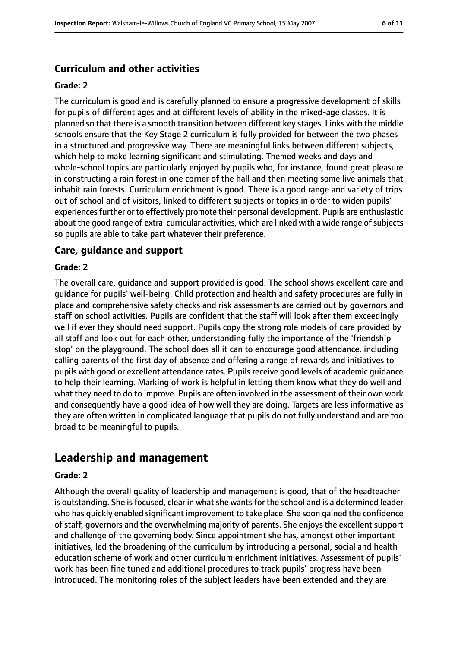## **Curriculum and other activities**

#### **Grade: 2**

The curriculum is good and is carefully planned to ensure a progressive development of skills for pupils of different ages and at different levels of ability in the mixed-age classes. It is planned so that there is a smooth transition between different key stages. Links with the middle schools ensure that the Key Stage 2 curriculum is fully provided for between the two phases in a structured and progressive way. There are meaningful links between different subjects, which help to make learning significant and stimulating. Themed weeks and days and whole-school topics are particularly enjoyed by pupils who, for instance, found great pleasure in constructing a rain forest in one corner of the hall and then meeting some live animals that inhabit rain forests. Curriculum enrichment is good. There is a good range and variety of trips out of school and of visitors, linked to different subjects or topics in order to widen pupils' experiences further or to effectively promote their personal development. Pupils are enthusiastic about the good range of extra-curricular activities, which are linked with a wide range of subjects so pupils are able to take part whatever their preference.

#### **Care, guidance and support**

#### **Grade: 2**

The overall care, guidance and support provided is good. The school shows excellent care and guidance for pupils' well-being. Child protection and health and safety procedures are fully in place and comprehensive safety checks and risk assessments are carried out by governors and staff on school activities. Pupils are confident that the staff will look after them exceedingly well if ever they should need support. Pupils copy the strong role models of care provided by all staff and look out for each other, understanding fully the importance of the 'friendship stop' on the playground. The school does all it can to encourage good attendance, including calling parents of the first day of absence and offering a range of rewards and initiatives to pupils with good or excellent attendance rates. Pupils receive good levels of academic quidance to help their learning. Marking of work is helpful in letting them know what they do well and what they need to do to improve. Pupils are often involved in the assessment of their own work and consequently have a good idea of how well they are doing. Targets are less informative as they are often written in complicated language that pupils do not fully understand and are too broad to be meaningful to pupils.

## **Leadership and management**

#### **Grade: 2**

Although the overall quality of leadership and management is good, that of the headteacher is outstanding. She is focused, clear in what she wants for the school and is a determined leader who has quickly enabled significant improvement to take place. She soon gained the confidence of staff, governors and the overwhelming majority of parents. She enjoys the excellent support and challenge of the governing body. Since appointment she has, amongst other important initiatives, led the broadening of the curriculum by introducing a personal, social and health education scheme of work and other curriculum enrichment initiatives. Assessment of pupils' work has been fine tuned and additional procedures to track pupils' progress have been introduced. The monitoring roles of the subject leaders have been extended and they are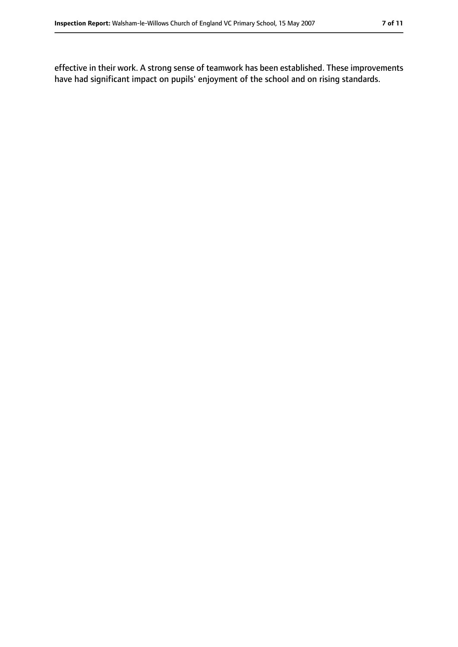effective in their work. A strong sense of teamwork has been established. These improvements have had significant impact on pupils' enjoyment of the school and on rising standards.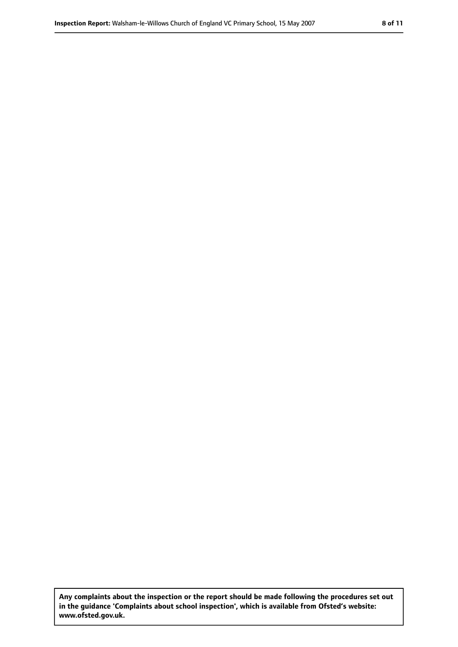**Any complaints about the inspection or the report should be made following the procedures set out in the guidance 'Complaints about school inspection', which is available from Ofsted's website: www.ofsted.gov.uk.**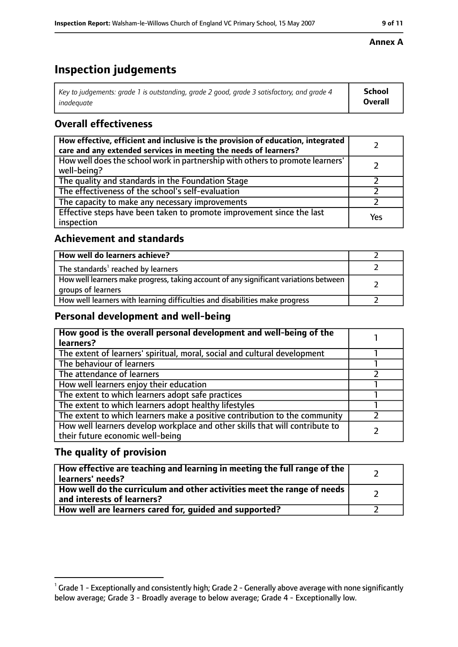# **Inspection judgements**

| $^{\circ}$ Key to judgements: grade 1 is outstanding, grade 2 good, grade 3 satisfactory, and grade 4 $^{\circ}$ | School         |
|------------------------------------------------------------------------------------------------------------------|----------------|
| inadeauate                                                                                                       | <b>Overall</b> |

## **Overall effectiveness**

| How effective, efficient and inclusive is the provision of education, integrated<br>care and any extended services in meeting the needs of learners? |     |
|------------------------------------------------------------------------------------------------------------------------------------------------------|-----|
| How well does the school work in partnership with others to promote learners'<br>well-being?                                                         |     |
| The quality and standards in the Foundation Stage                                                                                                    |     |
| The effectiveness of the school's self-evaluation                                                                                                    |     |
| The capacity to make any necessary improvements                                                                                                      |     |
| Effective steps have been taken to promote improvement since the last<br>inspection                                                                  | Yes |

## **Achievement and standards**

| How well do learners achieve?                                                                               |  |
|-------------------------------------------------------------------------------------------------------------|--|
| The standards <sup>1</sup> reached by learners                                                              |  |
| How well learners make progress, taking account of any significant variations between<br>groups of learners |  |
| How well learners with learning difficulties and disabilities make progress                                 |  |

## **Personal development and well-being**

| How good is the overall personal development and well-being of the<br>learners?                                  |  |
|------------------------------------------------------------------------------------------------------------------|--|
| The extent of learners' spiritual, moral, social and cultural development                                        |  |
| The behaviour of learners                                                                                        |  |
| The attendance of learners                                                                                       |  |
| How well learners enjoy their education                                                                          |  |
| The extent to which learners adopt safe practices                                                                |  |
| The extent to which learners adopt healthy lifestyles                                                            |  |
| The extent to which learners make a positive contribution to the community                                       |  |
| How well learners develop workplace and other skills that will contribute to<br>their future economic well-being |  |

## **The quality of provision**

| How effective are teaching and learning in meeting the full range of the<br>learners' needs?          |  |
|-------------------------------------------------------------------------------------------------------|--|
| How well do the curriculum and other activities meet the range of needs<br>and interests of learners? |  |
| How well are learners cared for, guided and supported?                                                |  |

#### **Annex A**

 $^1$  Grade 1 - Exceptionally and consistently high; Grade 2 - Generally above average with none significantly below average; Grade 3 - Broadly average to below average; Grade 4 - Exceptionally low.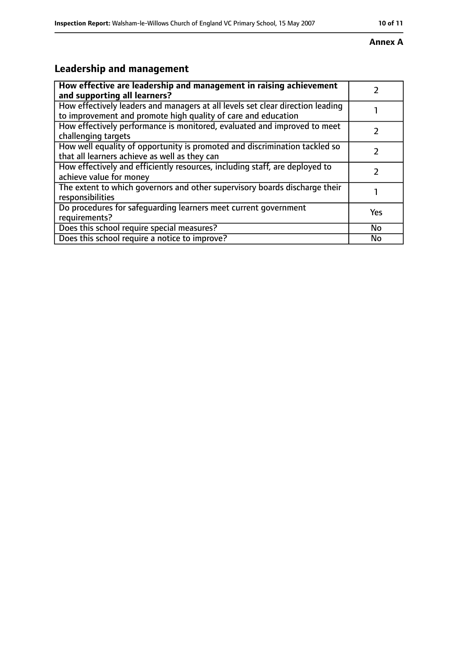# **Annex A**

# **Leadership and management**

| How effective are leadership and management in raising achievement                                                                              |     |
|-------------------------------------------------------------------------------------------------------------------------------------------------|-----|
| and supporting all learners?                                                                                                                    |     |
| How effectively leaders and managers at all levels set clear direction leading<br>to improvement and promote high quality of care and education |     |
| How effectively performance is monitored, evaluated and improved to meet<br>challenging targets                                                 |     |
| How well equality of opportunity is promoted and discrimination tackled so<br>that all learners achieve as well as they can                     |     |
| How effectively and efficiently resources, including staff, are deployed to<br>achieve value for money                                          | 7   |
| The extent to which governors and other supervisory boards discharge their<br>responsibilities                                                  |     |
| Do procedures for safequarding learners meet current government<br>requirements?                                                                | Yes |
| Does this school require special measures?                                                                                                      | No  |
| Does this school require a notice to improve?                                                                                                   | No  |